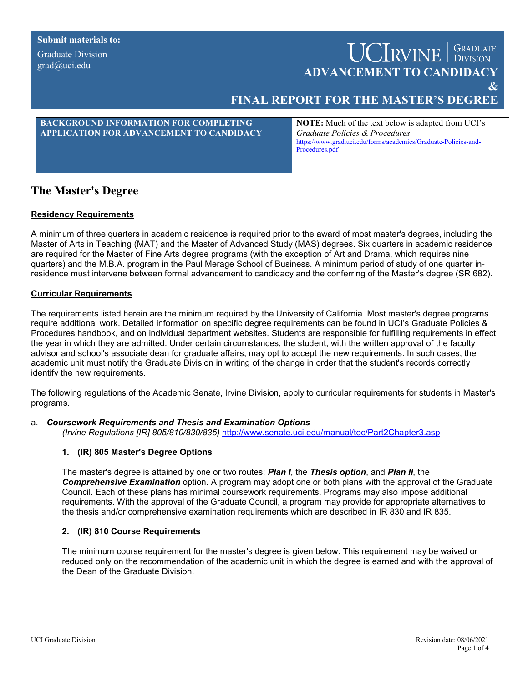**Submit materials to:**

Graduate Division grad@uci.edu

# **UCIRVINE** SRADUATE **ADVANCEMENT TO CANDIDACY**

**&** 

# **FINAL REPORT FOR THE MASTER'S DEGREE**

## **BACKGROUND INFORMATION FOR COMPLETING APPLICATION FOR ADVANCEMENT TO CANDIDACY**

**NOTE:** Much of the text below is adapted from UCI's *[Graduate Policies & Procedures](http://www.grad.uci.edu/forms/faculty-and-staff/Graduate%20Policies%20and%20Procedures.pdf)* [https://www.grad.uci.edu/forms/academics/Graduate-Policies-and-](https://www.grad.uci.edu/forms/academics/Graduate-Policies-and-Procedures.pdf)[Procedures.pdf](https://www.grad.uci.edu/forms/academics/Graduate-Policies-and-Procedures.pdf)

# **The Master's Degree**

## **Residency Requirements**

A minimum of three quarters in academic residence is required prior to the award of most master's degrees, including the Master of Arts in Teaching (MAT) and the Master of Advanced Study (MAS) degrees. Six quarters in academic residence are required for the Master of Fine Arts degree programs (with the exception of Art and Drama, which requires nine quarters) and the M.B.A. program in the Paul Merage School of Business. A minimum period of study of one quarter inresidence must intervene between formal advancement to candidacy and the conferring of the Master's degree (SR 682).

#### **Curricular Requirements**

The requirements listed herein are the minimum required by the University of California. Most master's degree programs require additional work. Detailed information on specific degree requirements can be found in UCI's [Graduate Policies &](http://www.grad.uci.edu/forms/faculty-and-staff/Graduate%20Policies%20and%20Procedures.pdf)  [Procedures](http://www.grad.uci.edu/forms/faculty-and-staff/Graduate%20Policies%20and%20Procedures.pdf) handbook, and on individual department websites. Students are responsible for fulfilling requirements in effect the year in which they are admitted. Under certain circumstances, the student, with the written approval of the faculty advisor and school's associate dean for graduate affairs, may opt to accept the new requirements. In such cases, the academic unit must notify the Graduate Division in writing of the change in order that the student's records correctly identify the new requirements.

The following regulations of the Academic Senate, Irvine Division, apply to curricular requirements for students in Master's programs.

#### a. *Coursework Requirements and Thesis and Examination Options*

*(Irvine Regulations [IR] 805/810/830/835)* <http://www.senate.uci.edu/manual/toc/Part2Chapter3.asp>

## **1. (IR) 805 Master's Degree Options**

The master's degree is attained by one or two routes: *Plan I*, the *Thesis option*, and *Plan II*, the *Comprehensive Examination* option. A program may adopt one or both plans with the approval of the Graduate Council. Each of these plans has minimal coursework requirements. Programs may also impose additional requirements. With the approval of the Graduate Council, a program may provide for appropriate alternatives to the thesis and/or comprehensive examination requirements which are described in IR 830 and IR 835.

#### **2. (IR) 810 Course Requirements**

The minimum course requirement for the master's degree is given below. This requirement may be waived or reduced only on the recommendation of the academic unit in which the degree is earned and with the approval of the Dean of the Graduate Division.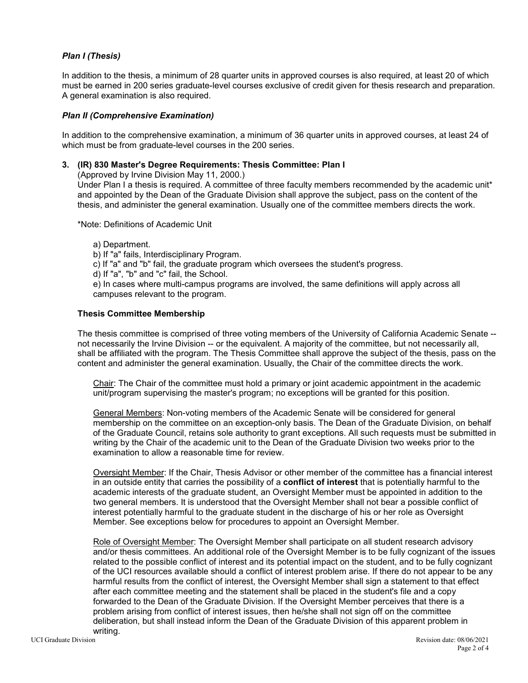#### *Plan I (Thesis)*

In addition to the thesis, a minimum of 28 quarter units in approved courses is also required, at least 20 of which must be earned in 200 series graduate-level courses exclusive of credit given for thesis research and preparation. A general examination is also required.

#### *Plan II (Comprehensive Examination)*

In addition to the comprehensive examination, a minimum of 36 quarter units in approved courses, at least 24 of which must be from graduate-level courses in the 200 series.

#### **3. (IR) 830 Master's Degree Requirements: Thesis Committee: Plan I**

(Approved by Irvine Division May 11, 2000.)

Under Plan I a thesis is required. A committee of three faculty members recommended by the academic unit\* and appointed by the Dean of the Graduate Division shall approve the subject, pass on the content of the thesis, and administer the general examination. Usually one of the committee members directs the work.

\*Note: Definitions of Academic Unit

a) Department.

- b) If "a" fails, Interdisciplinary Program.
- c) If "a" and "b" fail, the graduate program which oversees the student's progress.
- d) If "a", "b" and "c" fail, the School.

e) In cases where multi-campus programs are involved, the same definitions will apply across all campuses relevant to the program.

#### **Thesis Committee Membership**

The thesis committee is comprised of three voting members of the University of California Academic Senate - not necessarily the Irvine Division -- or the equivalent. A majority of the committee, but not necessarily all, shall be affiliated with the program. The Thesis Committee shall approve the subject of the thesis, pass on the content and administer the general examination. Usually, the Chair of the committee directs the work.

Chair: The Chair of the committee must hold a primary or joint academic appointment in the academic unit/program supervising the master's program; no exceptions will be granted for this position.

General Members: Non-voting members of the Academic Senate will be considered for general membership on the committee on an exception-only basis. The Dean of the Graduate Division, on behalf of the Graduate Council, retains sole authority to grant exceptions. All such requests must be submitted in writing by the Chair of the academic unit to the Dean of the Graduate Division two weeks prior to the examination to allow a reasonable time for review.

Oversight Member: If the Chair, Thesis Advisor or other member of the committee has a financial interest in an outside entity that carries the possibility of a **conflict of interest** that is potentially harmful to the academic interests of the graduate student, an Oversight Member must be appointed in addition to the two general members. It is understood that the Oversight Member shall not bear a possible conflict of interest potentially harmful to the graduate student in the discharge of his or her role as Oversight Member. See exceptions below for procedures to appoint an Oversight Member.

Role of Oversight Member: The Oversight Member shall participate on all student research advisory and/or thesis committees. An additional role of the Oversight Member is to be fully cognizant of the issues related to the possible conflict of interest and its potential impact on the student, and to be fully cognizant of the UCI resources available should a conflict of interest problem arise. If there do not appear to be any harmful results from the conflict of interest, the Oversight Member shall sign a statement to that effect after each committee meeting and the statement shall be placed in the student's file and a copy forwarded to the Dean of the Graduate Division. If the Oversight Member perceives that there is a problem arising from conflict of interest issues, then he/she shall not sign off on the committee deliberation, but shall instead inform the Dean of the Graduate Division of this apparent problem in writing.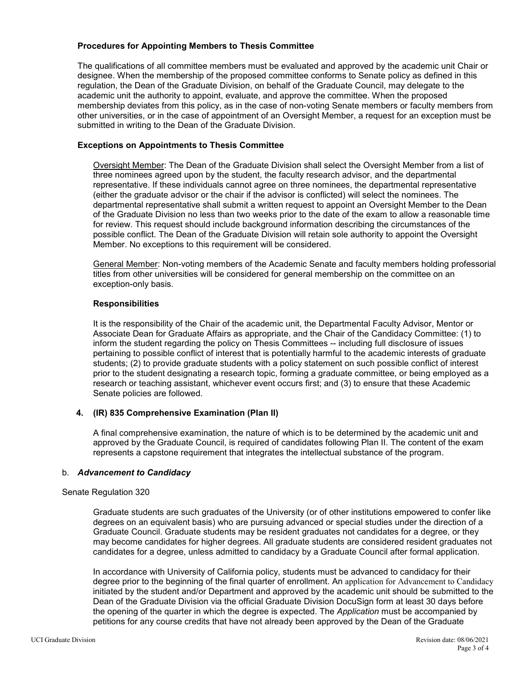#### **Procedures for Appointing Members to Thesis Committee**

The qualifications of all committee members must be evaluated and approved by the academic unit Chair or designee. When the membership of the proposed committee conforms to Senate policy as defined in this regulation, the Dean of the Graduate Division, on behalf of the Graduate Council, may delegate to the academic unit the authority to appoint, evaluate, and approve the committee. When the proposed membership deviates from this policy, as in the case of non-voting Senate members or faculty members from other universities, or in the case of appointment of an Oversight Member, a request for an exception must be submitted in writing to the Dean of the Graduate Division.

#### **Exceptions on Appointments to Thesis Committee**

Oversight Member: The Dean of the Graduate Division shall select the Oversight Member from a list of three nominees agreed upon by the student, the faculty research advisor, and the departmental representative. If these individuals cannot agree on three nominees, the departmental representative (either the graduate advisor or the chair if the advisor is conflicted) will select the nominees. The departmental representative shall submit a written request to appoint an Oversight Member to the Dean of the Graduate Division no less than two weeks prior to the date of the exam to allow a reasonable time for review. This request should include background information describing the circumstances of the possible conflict. The Dean of the Graduate Division will retain sole authority to appoint the Oversight Member. No exceptions to this requirement will be considered.

General Member: Non-voting members of the Academic Senate and faculty members holding professorial titles from other universities will be considered for general membership on the committee on an exception-only basis.

#### **Responsibilities**

It is the responsibility of the Chair of the academic unit, the Departmental Faculty Advisor, Mentor or Associate Dean for Graduate Affairs as appropriate, and the Chair of the Candidacy Committee: (1) to inform the student regarding the policy on Thesis Committees -- including full disclosure of issues pertaining to possible conflict of interest that is potentially harmful to the academic interests of graduate students; (2) to provide graduate students with a policy statement on such possible conflict of interest prior to the student designating a research topic, forming a graduate committee, or being employed as a research or teaching assistant, whichever event occurs first; and (3) to ensure that these Academic Senate policies are followed.

# **4. (IR) 835 Comprehensive Examination (Plan II)**

A final comprehensive examination, the nature of which is to be determined by the academic unit and approved by the Graduate Council, is required of candidates following Plan II. The content of the exam represents a capstone requirement that integrates the intellectual substance of the program.

#### b. *Advancement to Candidacy*

#### Senate Regulation 320

Graduate students are such graduates of the University (or of other institutions empowered to confer like degrees on an equivalent basis) who are pursuing advanced or special studies under the direction of a Graduate Council. Graduate students may be resident graduates not candidates for a degree, or they may become candidates for higher degrees. All graduate students are considered resident graduates not candidates for a degree, unless admitted to candidacy by a Graduate Council after formal application.

In accordance with University of California policy, students must be advanced to candidacy for their degree prior to the beginning of the final quarter of enrollment. An application for Advancement to Candidacy initiated by the student and/or Department and approved by the academic unit should be submitted to the Dean of the Graduate Division via the official Graduate Division DocuSign form at least 30 days before the opening of the quarter in which the degree is expected. The *Application* must be accompanied by petitions for any course credits that have not already been approved by the Dean of the Graduate